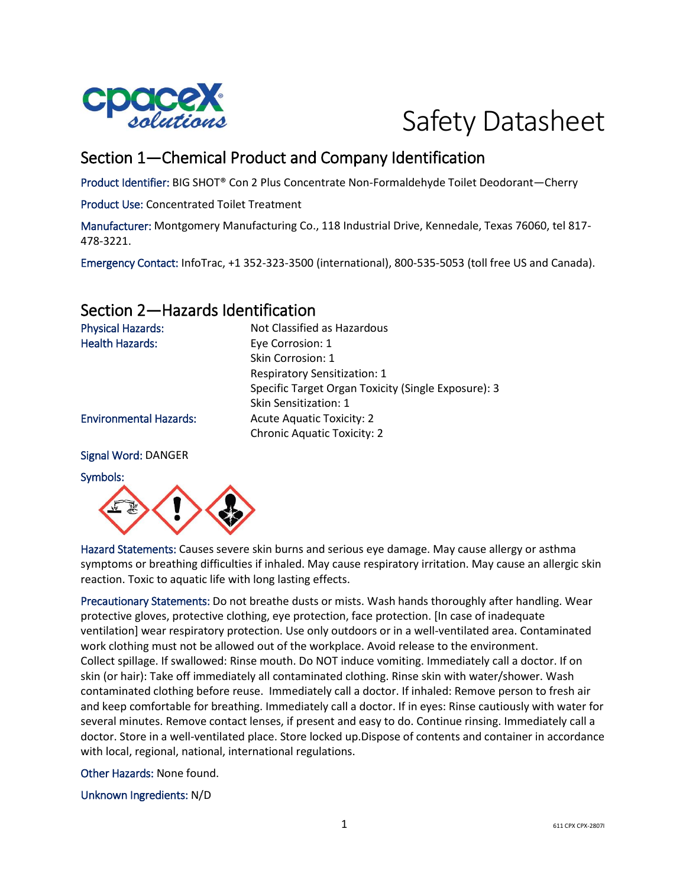

# Safety Datasheet

# Section 1—Chemical Product and Company Identification

Product Identifier: BIG SHOT® Con 2 Plus Concentrate Non-Formaldehyde Toilet Deodorant—Cherry

Product Use: Concentrated Toilet Treatment

Manufacturer: Montgomery Manufacturing Co., 118 Industrial Drive, Kennedale, Texas 76060, tel 817- 478-3221.

Emergency Contact: InfoTrac, +1 352-323-3500 (international), 800-535-5053 (toll free US and Canada).

## Section 2—Hazards Identification

| <b>Physical Hazards:</b>      | Not Classified as Hazardous                         |
|-------------------------------|-----------------------------------------------------|
| <b>Health Hazards:</b>        | Eye Corrosion: 1                                    |
|                               | Skin Corrosion: 1                                   |
|                               | <b>Respiratory Sensitization: 1</b>                 |
|                               | Specific Target Organ Toxicity (Single Exposure): 3 |
|                               | Skin Sensitization: 1                               |
| <b>Environmental Hazards:</b> | <b>Acute Aquatic Toxicity: 2</b>                    |
|                               | <b>Chronic Aquatic Toxicity: 2</b>                  |
|                               |                                                     |

#### Signal Word: DANGER

#### Symbols:



Hazard Statements: Causes severe skin burns and serious eye damage. May cause allergy or asthma symptoms or breathing difficulties if inhaled. May cause respiratory irritation. May cause an allergic skin reaction. Toxic to aquatic life with long lasting effects.

Precautionary Statements: Do not breathe dusts or mists. Wash hands thoroughly after handling. Wear protective gloves, protective clothing, eye protection, face protection. [In case of inadequate ventilation] wear respiratory protection. Use only outdoors or in a well-ventilated area. Contaminated work clothing must not be allowed out of the workplace. Avoid release to the environment. Collect spillage. If swallowed: Rinse mouth. Do NOT induce vomiting. Immediately call a doctor. If on skin (or hair): Take off immediately all contaminated clothing. Rinse skin with water/shower. Wash contaminated clothing before reuse. Immediately call a doctor. If inhaled: Remove person to fresh air and keep comfortable for breathing. Immediately call a doctor. If in eyes: Rinse cautiously with water for several minutes. Remove contact lenses, if present and easy to do. Continue rinsing. Immediately call a doctor. Store in a well-ventilated place. Store locked up.Dispose of contents and container in accordance with local, regional, national, international regulations.

Other Hazards: None found.

Unknown Ingredients: N/D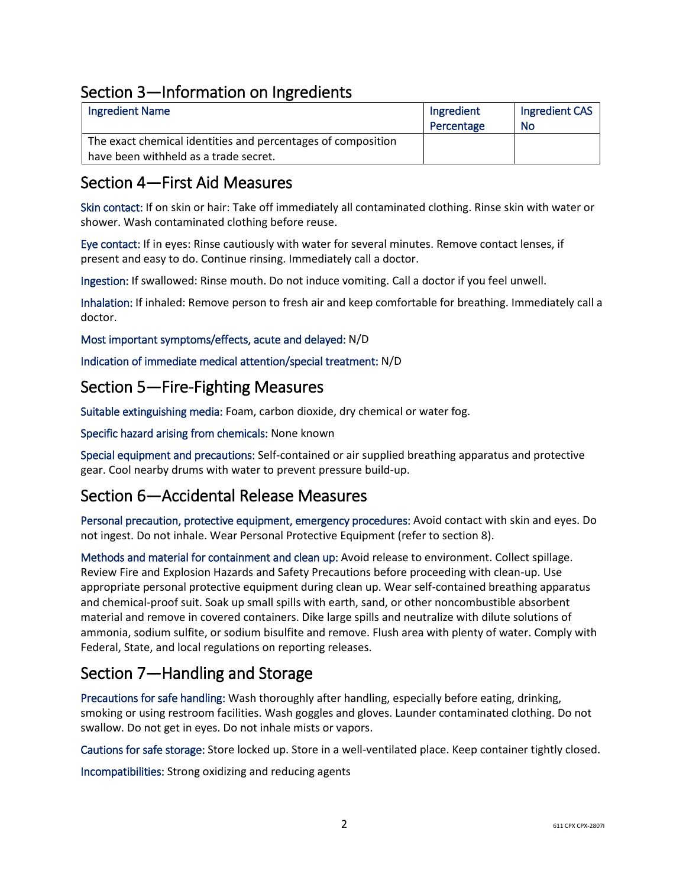# Section 3—Information on Ingredients

| <b>Ingredient Name</b>                                       | Ingredient | Ingredient CAS |
|--------------------------------------------------------------|------------|----------------|
|                                                              | Percentage | No             |
| The exact chemical identities and percentages of composition |            |                |
| have been withheld as a trade secret.                        |            |                |

## Section 4—First Aid Measures

Skin contact: If on skin or hair: Take off immediately all contaminated clothing. Rinse skin with water or shower. Wash contaminated clothing before reuse.

Eye contact: If in eyes: Rinse cautiously with water for several minutes. Remove contact lenses, if present and easy to do. Continue rinsing. Immediately call a doctor.

Ingestion: If swallowed: Rinse mouth. Do not induce vomiting. Call a doctor if you feel unwell.

Inhalation: If inhaled: Remove person to fresh air and keep comfortable for breathing. Immediately call a doctor.

Most important symptoms/effects, acute and delayed: N/D

Indication of immediate medical attention/special treatment: N/D

### Section 5—Fire-Fighting Measures

Suitable extinguishing media: Foam, carbon dioxide, dry chemical or water fog.

Specific hazard arising from chemicals: None known

Special equipment and precautions: Self-contained or air supplied breathing apparatus and protective gear. Cool nearby drums with water to prevent pressure build-up.

### Section 6—Accidental Release Measures

Personal precaution, protective equipment, emergency procedures: Avoid contact with skin and eyes. Do not ingest. Do not inhale. Wear Personal Protective Equipment (refer to section 8).

Methods and material for containment and clean up: Avoid release to environment. Collect spillage. Review Fire and Explosion Hazards and Safety Precautions before proceeding with clean-up. Use appropriate personal protective equipment during clean up. Wear self-contained breathing apparatus and chemical-proof suit. Soak up small spills with earth, sand, or other noncombustible absorbent material and remove in covered containers. Dike large spills and neutralize with dilute solutions of ammonia, sodium sulfite, or sodium bisulfite and remove. Flush area with plenty of water. Comply with Federal, State, and local regulations on reporting releases.

# Section 7—Handling and Storage

Precautions for safe handling: Wash thoroughly after handling, especially before eating, drinking, smoking or using restroom facilities. Wash goggles and gloves. Launder contaminated clothing. Do not swallow. Do not get in eyes. Do not inhale mists or vapors.

Cautions for safe storage: Store locked up. Store in a well-ventilated place. Keep container tightly closed.

Incompatibilities: Strong oxidizing and reducing agents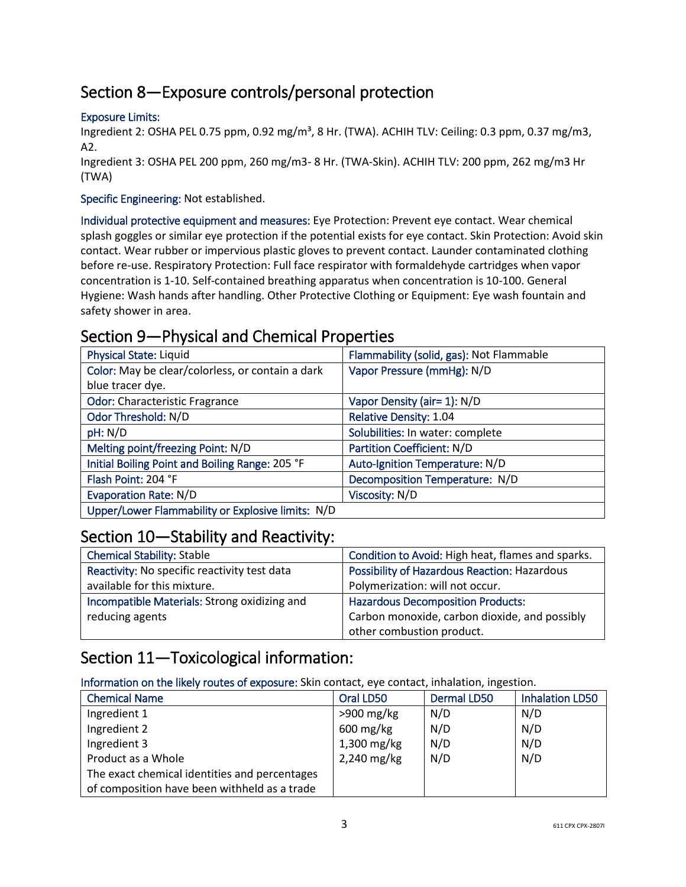# Section 8—Exposure controls/personal protection

#### Exposure Limits:

Ingredient 2: OSHA PEL 0.75 ppm, 0.92 mg/m<sup>3</sup>, 8 Hr. (TWA). ACHIH TLV: Ceiling: 0.3 ppm, 0.37 mg/m3, A2.

Ingredient 3: OSHA PEL 200 ppm, 260 mg/m3- 8 Hr. (TWA-Skin). ACHIH TLV: 200 ppm, 262 mg/m3 Hr (TWA)

#### Specific Engineering: Not established.

Individual protective equipment and measures: Eye Protection: Prevent eye contact. Wear chemical splash goggles or similar eye protection if the potential exists for eye contact. Skin Protection: Avoid skin contact. Wear rubber or impervious plastic gloves to prevent contact. Launder contaminated clothing before re-use. Respiratory Protection: Full face respirator with formaldehyde cartridges when vapor concentration is 1-10. Self-contained breathing apparatus when concentration is 10-100. General Hygiene: Wash hands after handling. Other Protective Clothing or Equipment: Eye wash fountain and safety shower in area.

# Section 9—Physical and Chemical Properties

| <b>Physical State: Liquid</b>                     | Flammability (solid, gas): Not Flammable |
|---------------------------------------------------|------------------------------------------|
| Color: May be clear/colorless, or contain a dark  | Vapor Pressure (mmHg): N/D               |
| blue tracer dye.                                  |                                          |
| <b>Odor: Characteristic Fragrance</b>             | Vapor Density (air= 1): N/D              |
| Odor Threshold: N/D                               | <b>Relative Density: 1.04</b>            |
| pH: N/D                                           | Solubilities: In water: complete         |
| Melting point/freezing Point: N/D                 | <b>Partition Coefficient: N/D</b>        |
| Initial Boiling Point and Boiling Range: 205 °F   | Auto-Ignition Temperature: N/D           |
| Flash Point: 204 °F                               | Decomposition Temperature: N/D           |
| <b>Evaporation Rate: N/D</b>                      | Viscosity: N/D                           |
| Upper/Lower Flammability or Explosive limits: N/D |                                          |

### Section 10—Stability and Reactivity:

| <b>Chemical Stability: Stable</b>            | Condition to Avoid: High heat, flames and sparks. |
|----------------------------------------------|---------------------------------------------------|
| Reactivity: No specific reactivity test data | Possibility of Hazardous Reaction: Hazardous      |
| available for this mixture.                  | Polymerization: will not occur.                   |
| Incompatible Materials: Strong oxidizing and | <b>Hazardous Decomposition Products:</b>          |
| reducing agents                              | Carbon monoxide, carbon dioxide, and possibly     |
|                                              | other combustion product.                         |

### Section 11—Toxicological information:

Information on the likely routes of exposure: Skin contact, eye contact, inhalation, ingestion.

| <b>Chemical Name</b>                          | Oral LD50    | <b>Dermal LD50</b> | <b>Inhalation LD50</b> |
|-----------------------------------------------|--------------|--------------------|------------------------|
| Ingredient 1                                  | $>900$ mg/kg | N/D                | N/D                    |
| Ingredient 2                                  | $600$ mg/kg  | N/D                | N/D                    |
| Ingredient 3                                  | 1,300 mg/kg  | N/D                | N/D                    |
| Product as a Whole                            | 2,240 mg/kg  | N/D                | N/D                    |
| The exact chemical identities and percentages |              |                    |                        |
| of composition have been withheld as a trade  |              |                    |                        |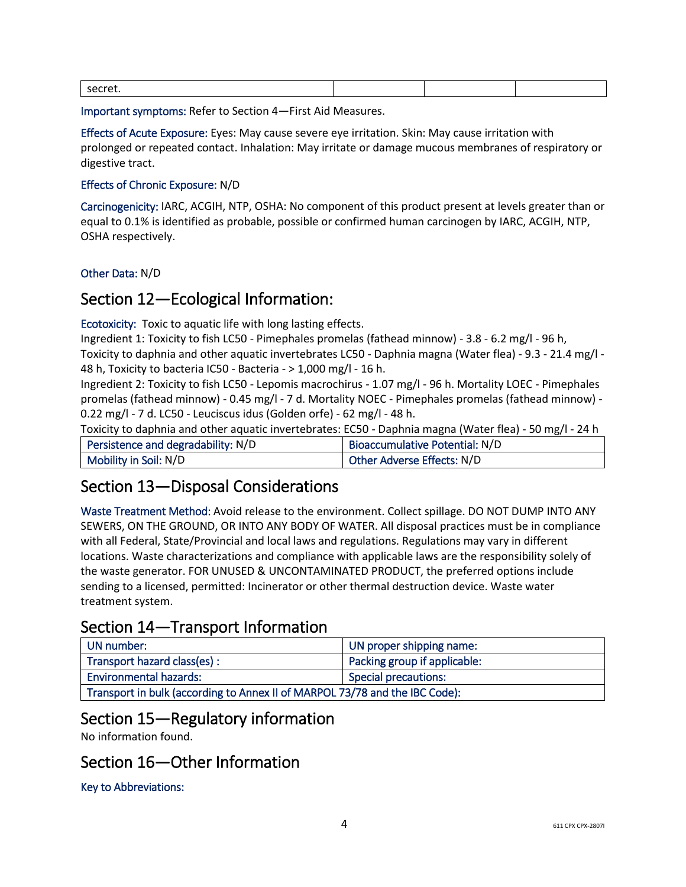| secret. |  |  |
|---------|--|--|
|         |  |  |

Important symptoms: Refer to Section 4—First Aid Measures.

Effects of Acute Exposure: Eyes: May cause severe eye irritation. Skin: May cause irritation with prolonged or repeated contact. Inhalation: May irritate or damage mucous membranes of respiratory or digestive tract.

#### Effects of Chronic Exposure: N/D

Carcinogenicity: IARC, ACGIH, NTP, OSHA: No component of this product present at levels greater than or equal to 0.1% is identified as probable, possible or confirmed human carcinogen by IARC, ACGIH, NTP, OSHA respectively.

Other Data: N/D

### Section 12—Ecological Information:

Ecotoxicity: Toxic to aquatic life with long lasting effects.

Ingredient 1: Toxicity to fish LC50 - Pimephales promelas (fathead minnow) - 3.8 - 6.2 mg/l - 96 h, Toxicity to daphnia and other aquatic invertebrates LC50 - Daphnia magna (Water flea) - 9.3 - 21.4 mg/l - 48 h, Toxicity to bacteria IC50 - Bacteria - > 1,000 mg/l - 16 h.

Ingredient 2: Toxicity to fish LC50 - Lepomis macrochirus - 1.07 mg/l - 96 h. Mortality LOEC - Pimephales promelas (fathead minnow) - 0.45 mg/l - 7 d. Mortality NOEC - Pimephales promelas (fathead minnow) - 0.22 mg/l - 7 d. LC50 - Leuciscus idus (Golden orfe) - 62 mg/l - 48 h.

Toxicity to daphnia and other aquatic invertebrates: EC50 - Daphnia magna (Water flea) - 50 mg/l - 24 h

| Persistence and degradability: N/D | Bioaccumulative Potential: N/D |
|------------------------------------|--------------------------------|
| Mobility in Soil: N/D              | Other Adverse Effects: N/D     |

# Section 13—Disposal Considerations

Waste Treatment Method: Avoid release to the environment. Collect spillage. DO NOT DUMP INTO ANY SEWERS, ON THE GROUND, OR INTO ANY BODY OF WATER. All disposal practices must be in compliance with all Federal, State/Provincial and local laws and regulations. Regulations may vary in different locations. Waste characterizations and compliance with applicable laws are the responsibility solely of the waste generator. FOR UNUSED & UNCONTAMINATED PRODUCT, the preferred options include sending to a licensed, permitted: Incinerator or other thermal destruction device. Waste water treatment system.

### Section 14—Transport Information

| UN number:                                                                  | UN proper shipping name:     |  |
|-----------------------------------------------------------------------------|------------------------------|--|
| Transport hazard class(es):                                                 | Packing group if applicable: |  |
| <b>Environmental hazards:</b>                                               | Special precautions:         |  |
| Transport in bulk (according to Annex II of MARPOL 73/78 and the IBC Code): |                              |  |

# Section 15—Regulatory information

No information found.

# Section 16—Other Information

Key to Abbreviations: